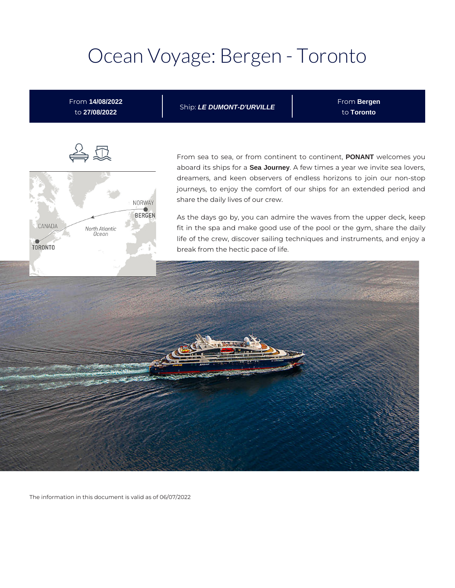## Ocean Voyage: Bergen - Toronto

From **14/08/2022** to **27/08/2022**

Ship: **LE DUMONT-D'URVILLE**

From **Bergen** to **Toronto**



From sea to sea, or from continent to continent, **PONANT** welcomes you aboard its ships for a **Sea Journey**. A few times a year we invite sea lovers, dreamers, and keen observers of endless horizons to join our non-stop journeys, to enjoy the comfort of our ships for an extended period and share the daily lives of our crew.

As the days go by, you can admire the waves from the upper deck, keep fit in the spa and make good use of the pool or the gym, share the daily life of the crew, discover sailing techniques and instruments, and enjoy a break from the hectic pace of life.



The information in this document is valid as of 06/07/2022